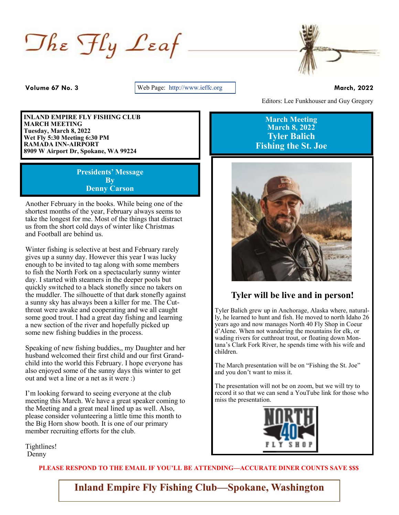$\Box$ he  $\mathcal{F}$ ly Leaf



**Volume 67 No. 3** Web Page: http://www.ieffc.org **March, 2022** 

**INLAND EMPIRE FLY FISHING CLUB MARCH MEETING Tuesday, March 8, 2022 Wet Fly 5:30 Meeting 6:30 PM RAMADA INN-AIRPORT 8909 W Airport Dr, Spokane, WA 99224** 

> **Presidents' Message By Denny Carson**

Another February in the books. While being one of the shortest months of the year, February always seems to take the longest for me. Most of the things that distract us from the short cold days of winter like Christmas and Football are behind us.

Winter fishing is selective at best and February rarely gives up a sunny day. However this year I was lucky enough to be invited to tag along with some members to fish the North Fork on a spectacularly sunny winter day. I started with steamers in the deeper pools but quickly switched to a black stonefly since no takers on the muddler. The silhouette of that dark stonefly against a sunny sky has always been a killer for me. The Cutthroat were awake and cooperating and we all caught some good trout. I had a great day fishing and learning a new section of the river and hopefully picked up some new fishing buddies in the process.

Speaking of new fishing buddies,, my Daughter and her husband welcomed their first child and our first Grandchild into the world this February. I hope everyone has also enjoyed some of the sunny days this winter to get out and wet a line or a net as it were :)

I'm looking forward to seeing everyone at the club meeting this March. We have a great speaker coming to the Meeting and a great meal lined up as well. Also, please consider volunteering a little time this month to the Big Horn show booth. It is one of our primary member recruiting efforts for the club.

Tightlines! Denny

**PLEASE RESPOND TO THE EMAIL IF YOU'LL BE ATTENDING—ACCURATE DINER COUNTS SAVE \$\$\$**

**Inland Empire Fly Fishing Club—Spokane, Washington**

Editors: Lee Funkhouser and Guy Gregory

**March Meeting March 8, 2022 Tyler Balich Fishing the St. Joe**



## **Tyler will be live and in person!**

Tyler Balich grew up in Anchorage, Alaska where, naturally, he learned to hunt and fish. He moved to north Idaho 26 years ago and now manages North 40 Fly Shop in Coeur d'Alene. When not wandering the mountains for elk, or wading rivers for cutthroat trout, or floating down Montana's Clark Fork River, he spends time with his wife and children.

. and you don't want to miss it. The March presentation will be on "Fishing the St. Joe"

The presentation will not be on zoom, but we will try to record it so that we can send a YouTube link for those who miss the presentation.

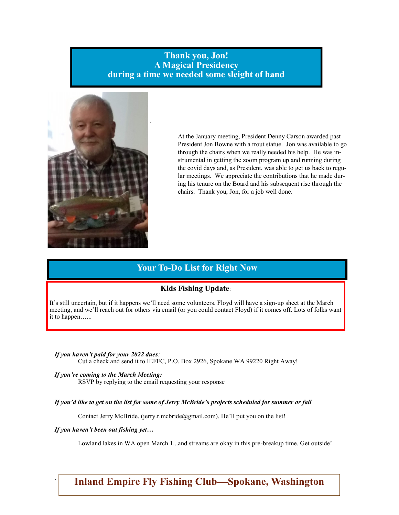## **Thank you, Jon! A Magical Presidency during a time we needed some sleight of hand**



**2** the covid days and, as President, was able to get us back to regu-At the January meeting, President Denny Carson awarded past President Jon Bowne with a trout statue. Jon was available to go through the chairs when we really needed his help. He was instrumental in getting the zoom program up and running during lar meetings. We appreciate the contributions that he made during his tenure on the Board and his subsequent rise through the chairs. Thank you, Jon, for a job well done.

## **Your To-Do List for Right Now**

### **Kids Fishing Update**:

It's still uncertain, but if it happens we'll need some volunteers. Floyd will have a sign-up sheet at the March meeting, and we'll reach out for others via email (or you could contact Floyd) if it comes off. Lots of folks want it to happen…...

*If you haven't paid for your 2022 dues:*  Cut a check and send it to IEFFC, P.O. Box 2926, Spokane WA 99220 Right Away!

*If you're coming to the March Meeting:* RSVP by replying to the email requesting your response

*If you'd like to get on the list for some of Jerry McBride's projects scheduled for summer or fall*

Contact Jerry McBride. (jerry.r.mcbride@gmail.com). He'll put you on the list!

*If you haven't been out fishing yet…*

.

Lowland lakes in WA open March 1...and streams are okay in this pre-breakup time. Get outside!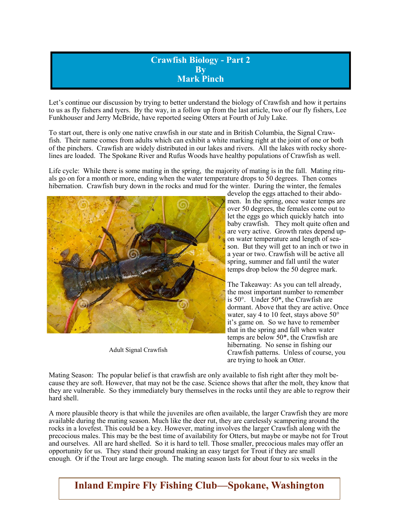## **Crawfish Biology - Part 2 By Mark Pinch**

Let's continue our discussion by trying to better understand the biology of Crawfish and how it pertains to us as fly fishers and tyers. By the way, in a follow up from the last article, two of our fly fishers, Lee Funkhouser and Jerry McBride, have reported seeing Otters at Fourth of July Lake.

To start out, there is only one native crawfish in our state and in British Columbia, the Signal Crawfish. Their name comes from adults which can exhibit a white marking right at the joint of one or both of the pinchers. Crawfish are widely distributed in our lakes and rivers. All the lakes with rocky shorelines are loaded. The Spokane River and Rufus Woods have healthy populations of Crawfish as well.

Life cycle: While there is some mating in the spring, the majority of mating is in the fall. Mating rituals go on for a month or more, ending when the water temperature drops to 50 degrees. Then comes hibernation. Crawfish bury down in the rocks and mud for the winter. During the winter, the females



Adult Signal Crawfish

develop the eggs attached to their abdomen. In the spring, once water temps are over 50 degrees, the females come out to let the eggs go which quickly hatch into baby crawfish. They molt quite often and are very active. Growth rates depend upon water temperature and length of season. But they will get to an inch or two in a year or two. Crawfish will be active all spring, summer and fall until the water temps drop below the 50 degree mark.

The Takeaway: As you can tell already, the most important number to remember is 50°. Under 50\*, the Crawfish are dormant. Above that they are active. Once water, say 4 to 10 feet, stays above 50° it's game on. So we have to remember that in the spring and fall when water temps are below 50\*, the Crawfish are hibernating. No sense in fishing our Crawfish patterns. Unless of course, you are trying to hook an Otter.

Mating Season: The popular belief is that crawfish are only available to fish right after they molt because they are soft. However, that may not be the case. Science shows that after the molt, they know that they are vulnerable. So they immediately bury themselves in the rocks until they are able to regrow their hard shell.

A more plausible theory is that while the juveniles are often available, the larger Crawfish they are more available during the mating season. Much like the deer rut, they are carelessly scampering around the rocks in a lovefest. This could be a key. However, mating involves the larger Crawfish along with the precocious males. This may be the best time of availability for Otters, but maybe or maybe not for Trout and ourselves. All are hard shelled. So it is hard to tell. Those smaller, precocious males may offer an opportunity for us. They stand their ground making an easy target for Trout if they are small enough. Or if the Trout are large enough. The mating season lasts for about four to six weeks in the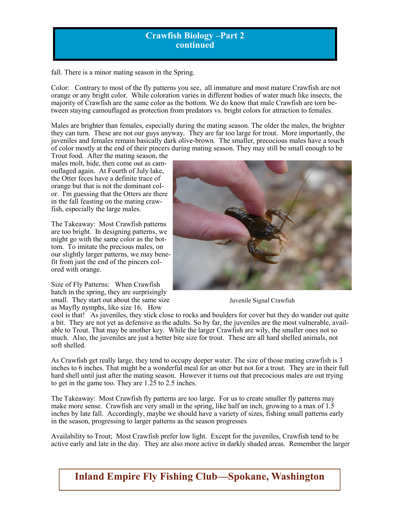## **Crawfish Biology –Part 2 continued**

fall. There is a minor mating season in the Spring.

Color: Contrary to most of the fly patterns you see, all immature and most mature Crawfish are not orange or any bright color. While coloration varies in different bodies of water much like insects, the majority of Crawfish are the same color as the bottom. We do know that male Crawfish are torn between staying camouflaged as protection from predators vs. bright colors for attraction to females.

Males are brighter than females, especially during the mating season. The older the males, the brighter they can turn. These are not our guys anyway. They are far too large for trout. More importantly, the juveniles and females remain basically dark olive-brown. The smaller, precocious males have a touch of color mostly at the end of their pincers during mating season. They may still be small enough to be

Trout food. After the mating season, the males molt, hide, then come out as camouflaged again. At Fourth of July lake, the Otter feces have a definite trace of orange but that is not the dominant color. I'm guessing that the Otters are there in the fall feasting on the mating crawfish, especially the large males.

The Takeaway: Most Crawfish patterns are too bright. In designing patterns, we might go with the same color as the bottom. To imitate the precious males, on our slightly larger patterns, we may benefit from just the end of the pincers colored with orange.

Size of Fly Patterns: When Crawfish hatch in the spring, they are surprisingly small. They start out about the same size as Mayfly nymphs, like size 16. How



Juvenile Signal Crawfish

cool is that! As juveniles, they stick close to rocks and boulders for cover but they do wander out quite a bit. They are not yet as defensive as the adults. So by far, the juveniles are the most vulnerable, available to Trout. That may be another key. While the larger Crawfish are wily, the smaller ones not so much. Also, the juveniles are just a better bite size for trout. These are all hard shelled animals, not soft shelled.

As Crawfish get really large, they tend to occupy deeper water. The size of those mating crawfish is 3 inches to 6 inches. That might be a wonderful meal for an otter but not for a trout. They are in their full hard shell until just after the mating season. However it turns out that precocious males are out trying to get in the game too. They are 1.25 to 2.5 inches.

The Takeaway: Most Crawfish fly patterns are too large. For us to create smaller fly patterns may make more sense. Crawfish are very small in the spring, like half an inch, growing to a max of 1.5 inches by late fall. Accordingly, maybe we should have a variety of sizes, fishing small patterns early in the season, progressing to larger patterns as the season progresses

Availability to Trout; Most Crawfish prefer low light. Except for the juveniles, Crawfish tend to be active early and late in the day. They are also more active in darkly shaded areas. Remember the larger

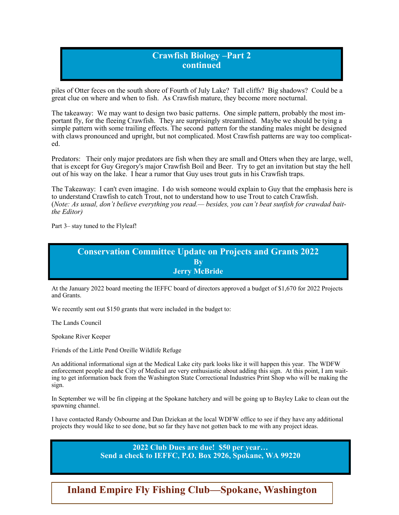## **Crawfish Biology –Part 2 continued**

piles of Otter feces on the south shore of Fourth of July Lake? Tall cliffs? Big shadows? Could be a great clue on where and when to fish. As Crawfish mature, they become more nocturnal.

The takeaway: We may want to design two basic patterns. One simple pattern, probably the most important fly, for the fleeing Crawfish. They are surprisingly streamlined. Maybe we should be tying a simple pattern with some trailing effects. The second pattern for the standing males might be designed with claws pronounced and upright, but not complicated. Most Crawfish patterns are way too complicated.

Predators: Their only major predators are fish when they are small and Otters when they are large, well, that is except for Guy Gregory's major Crawfish Boil and Beer. Try to get an invitation but stay the hell out of his way on the lake. I hear a rumor that Guy uses trout guts in his Crawfish traps.

The Takeaway: I can't even imagine. I do wish someone would explain to Guy that the emphasis here is to understand Crawfish to catch Trout, not to understand how to use Trout to catch Crawfish. (*Note: As usual, don't believe everything you read.— besides, you can't beat sunfish for crawdad baitthe Editor)*

Part 3– stay tuned to the Flyleaf!



At the January 2022 board meeting the IEFFC board of directors approved a budget of \$1,670 for 2022 Projects and Grants.

We recently sent out \$150 grants that were included in the budget to:

The Lands Council

Spokane River Keeper

Friends of the Little Pend Oreille Wildlife Refuge

An additional informational sign at the Medical Lake city park looks like it will happen this year. The WDFW enforcement people and the City of Medical are very enthusiastic about adding this sign. At this point, I am waiting to get information back from the Washington State Correctional Industries Print Shop who will be making the sign.

In September we will be fin clipping at the Spokane hatchery and will be going up to Bayley Lake to clean out the spawning channel.

I have contacted Randy Osbourne and Dan Dziekan at the local WDFW office to see if they have any additional projects they would like to see done, but so far they have not gotten back to me with any project ideas.

> **2022 Club Dues are due! \$50 per year… Send a check to IEFFC, P.O. Box 2926, Spokane, WA 99220**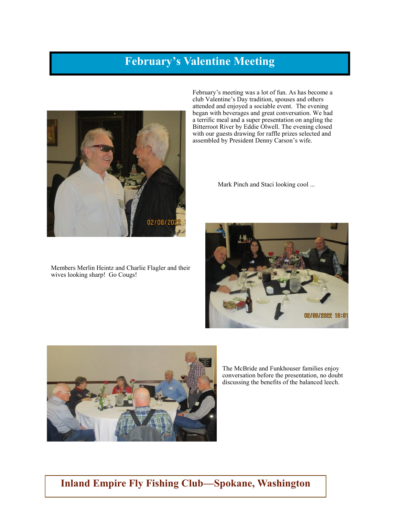# **February's Valentine Meeting**



Members Merlin Heintz and Charlie Flagler and their wives looking sharp! Go Cougs!

February's meeting was a lot of fun. As has become a club Valentine's Day tradition, spouses and others attended and enjoyed a sociable event. The evening began with beverages and great conversation. We had a terrific meal and a super presentation on angling the Bitterroot River by Eddie Olwell. The evening closed with our guests drawing for raffle prizes selected and assembled by President Denny Carson's wife.

Mark Pinch and Staci looking cool ...





The McBride and Funkhouser families enjoy conversation before the presentation, no doubt discussing the benefits of the balanced leech.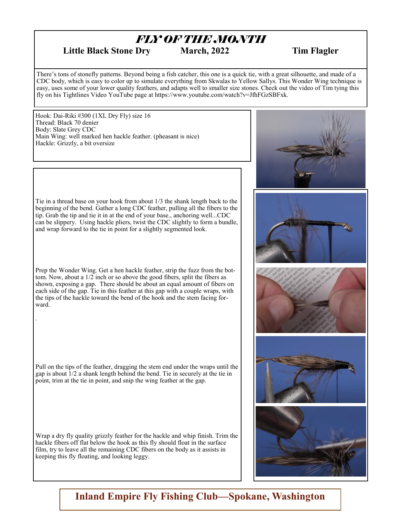# *FLY OF THE MONTH*

## Little Black Stone Dry March, 2022 Tim Flagler

There's tons of stonefly patterns. Beyond being a fish catcher, this one is a quick tie, with a great silhouette, and made of a CDC body, which is easy to color up to simulate everything from Skwalas to Yellow Sallys. This Wonder Wing technique is easy, uses some of your lower quality feathers, and adapts well to smaller size stones. Check out the video of Tim tying this fly on his Tightlines Video YouTube page at https://www.youtube.com/watch?v=JfhFGzSBFxk.

Hook: Dai-Riki #300 (1XL Dry Fly) size 16 Thread: Black 70 denier Body: Slate Grey CDC Main Wing: well marked hen hackle feather. (pheasant is nice) Hackle: Grizzly, a bit oversize



Tie in a thread base on your hook from about 1/3 the shank length back to the beginning of the bend. Gather a long CDC feather, pulling all the fibers to the tip. Grab the tip and tie it in at the end of your base., anchoring well...CDC can be slippery. Using hackle pliers, twist the CDC slightly to form a bundle, and wrap forward to the tie in point for a slightly segmented look.

Prep the Wonder Wing. Get a hen hackle feather, strip the fuzz from the bottom. Now, about a 1/2 inch or so above the good fibers, split the fibers as shown, exposing a gap. There should be about an equal amount of fibers on each side of the gap. Tie in this feather at this gap with a couple wraps, with the tips of the hackle toward the bend of the hook and the stem facing forward.

.

Pull on the tips of the feather, dragging the stem end under the wraps until the gap is about  $\overline{1}/2$  a shank length behind the bend. Tie in securely at the tie in point, trim at the tie in point, and snip the wing feather at the gap.

Wrap a dry fly quality grizzly feather for the hackle and whip finish. Trim the hackle fibers off flat below the hook as this fly should float in the surface film, try to leave all the remaining CDC fibers on the body as it assists in keeping this fly floating, and looking leggy.